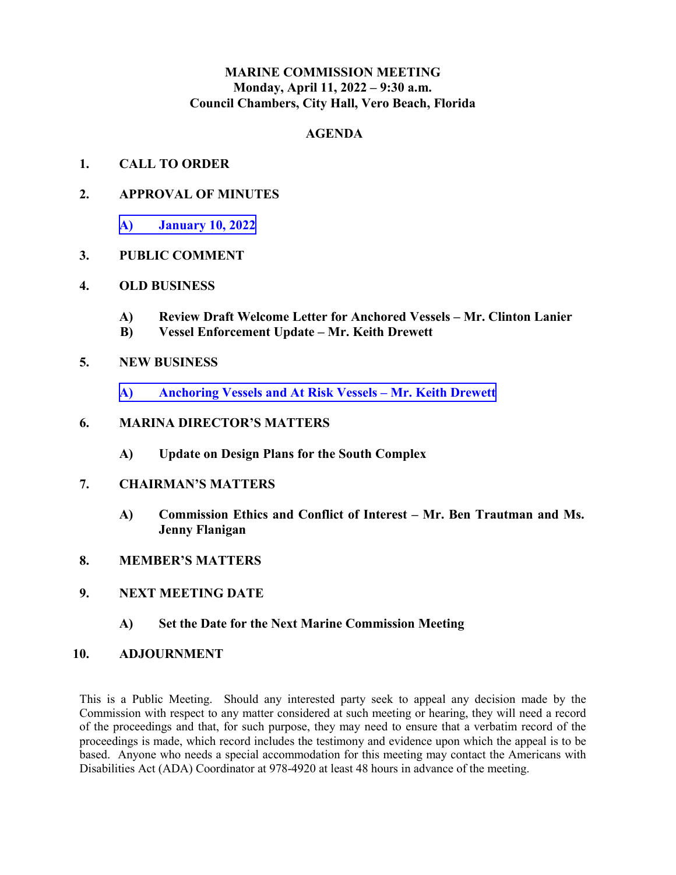#### **MARINE COMMISSION MEETING Monday, April 11, 2022 – 9:30 a.m. Council Chambers, City Hall, Vero Beach, Florida**

#### **AGENDA**

- **1. CALL TO ORDER**
- **2. APPROVAL OF MINUTES** 
	- **A) [January 10, 2022](#page-1-0)**

#### **3. PUBLIC COMMENT**

- **4. OLD BUSINESS** 
	- **A) Review Draft Welcome Letter for Anchored Vessels Mr. Clinton Lanier**
	- **B) Vessel Enforcement Update Mr. Keith Drewett**
- **5. NEW BUSINESS** 
	- **A) [Anchoring Vessels and At Risk Vessels Mr. Keith Drewett](#page-8-0)**

#### **6. MARINA DIRECTOR'S MATTERS**

- **A) Update on Design Plans for the South Complex**
- **7. CHAIRMAN'S MATTERS** 
	- **A) Commission Ethics and Conflict of Interest Mr. Ben Trautman and Ms. Jenny Flanigan**
- **8. MEMBER'S MATTERS**
- **9. NEXT MEETING DATE** 
	- **A) Set the Date for the Next Marine Commission Meeting**

#### **10. ADJOURNMENT**

 Commission with respect to any matter considered at such meeting or hearing, they will need a record of the proceedings and that, for such purpose, they may need to ensure that a verbatim record of the proceedings is made, which record includes the testimony and evidence upon which the appeal is to be based. Anyone who needs a special accommodation for this meeting may contact the Americans with This is a Public Meeting. Should any interested party seek to appeal any decision made by the Disabilities Act (ADA) Coordinator at 978-4920 at least 48 hours in advance of the meeting.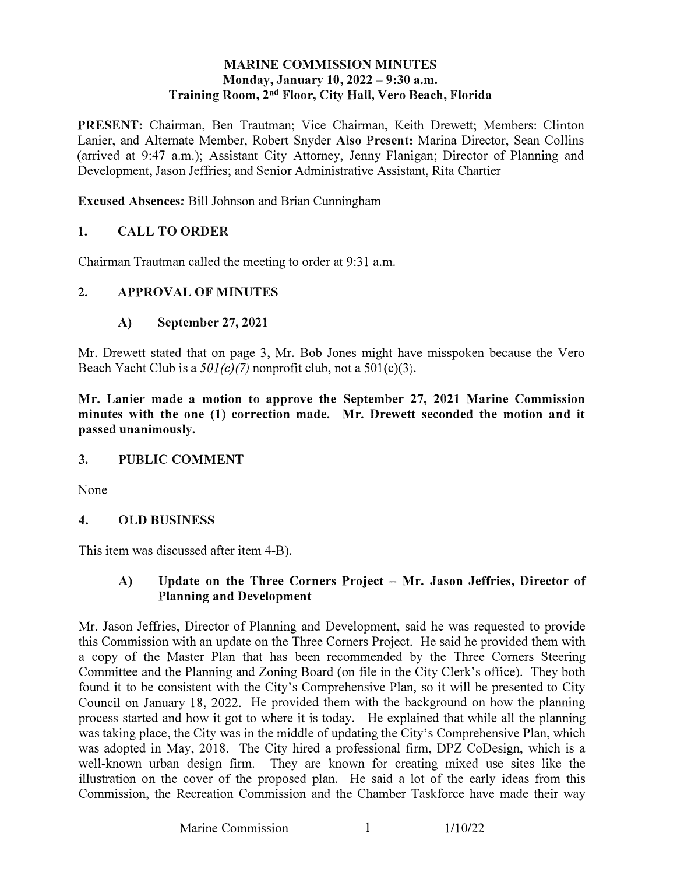#### MARINE COMMISSION MINUTES Monday, January 10, 2022 - 9:30 a.m. Training Room, 2nd Floor, City Hall, Vero Beach, Florida

<span id="page-1-0"></span>PRESENT: Chairman, Ben Trautman; Vice Chairman, Keith Drewett; Members: Clinton Lanier, and Alternate Member, Robert Snyder Also Present: Marina Director, Sean Collins (arrived at 9:47 a.m.); Assistant City Attorney, Jenny Flanigan; Director of Planning and Development, Jason Jeffries; and Senior Administrative Assistant, Rita Chartier

Excused Absences: Bill Johnson and Brian Cunningham

### 1. CALL TO ORDER

Chairman Trautman called the meeting to order at 9:31 a.m.

#### 2. APPROVAL OF MINUTES

#### A) September 27, 2021

Mr. Drewett stated that on page 3, Mr. Bob Jones might have misspoken because the Vero Beach Yacht Club is a *501 (c)(7)* nonprofit club, not a 50l(c)(3).

Mr. Lanier made a motion to approve the September 27, 2021 Marine Commission minutes with the one (1) correction made. Mr. Drewett seconded the motion and it passed unanimously.

#### 3. PUBLIC COMMENT

None

#### 4. OLD BUSINESS

This item was discussed after item 4-B).

#### A) Update on the Three Corners Project - Mr. Jason Jeffries, Director of Planning and Development

Mr. Jason Jeffries, Director of Planning and Development, said he was requested to provide this Commission with an update on the Three Corners Project. He said he provided them with a copy of the Master Plan that has been recommended by the Three Comers Steering Committee and the Planning and Zoning Board (on file in the City Clerk's office). They both found it to be consistent with the City's Comprehensive Plan, so it will be presented to City Council on January 18, 2022. He provided them with the background on how the planning process started and how it got to where it is today. He explained that while all the planning was taking place, the City was in the middle of updating the City's Comprehensive Plan, which was adopted in May, 2018. The City hired a professional firm, DPZ CoDesign, which is a well-known urban design firm. They are known for creating mixed use sites like the illustration on the cover of the proposed plan. He said a lot of the early ideas from this Commission, the Recreation Commission and the Chamber Taskforce have made their way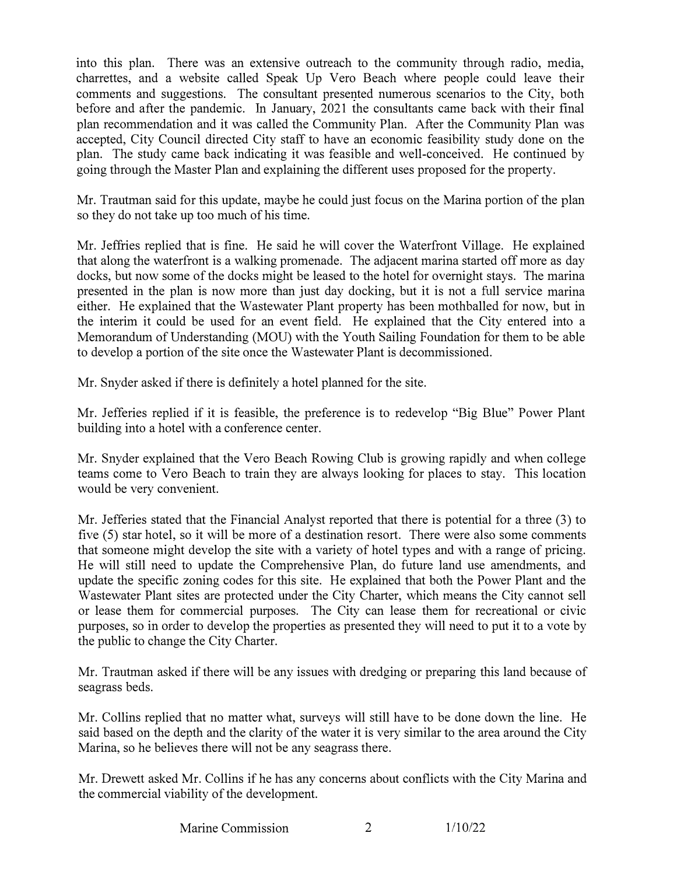into this plan. There was an extensive outreach to the community through radio, media, charrettes, and a website called Speak Up Vero Beach where people could leave their comments and suggestions. The consultant presented numerous scenarios to the City, both before and after the pandemic. In January, 2021 the consultants came back with their final plan recommendation and it was called the Community Plan. After the Community Plan was accepted, City Council directed City staff to have an economic feasibility study done on the plan. The study came back indicating it was feasible and well-conceived. He continued by going through the Master Plan and explaining the different uses proposed for the property.

Mr. Trautman said for this update, maybe he could just focus on the Marina portion of the plan so they do not take up too much of his time.

Mr. Jeffries replied that is fine. He said he will cover the Waterfront Village. He explained that along the waterfront is a walking promenade. The adjacent marina started off more as day docks, but now some of the docks might be leased to the hotel for overnight stays. The marina presented in the plan is now more than just day docking, but it is not a full service marina either. He explained that the Wastewater Plant property has been mothballed for now, but in the interim it could be used for an event field. He explained that the City entered into a Memorandum of Understanding (MOU) with the Youth Sailing Foundation for them to be able to develop a portion of the site once the Wastewater Plant is decommissioned.

Mr. Snyder asked if there is definitely a hotel planned for the site.

Mr. Jefferies replied if it is feasible, the preference is to redevelop "Big Blue" Power Plant building into a hotel with a conference center.

Mr. Snyder explained that the Vero Beach Rowing Club is growing rapidly and when college teams come to Vero Beach to train they are always looking for places to stay. This location would be very convenient.

Mr. Jefferies stated that the Financial Analyst reported that there is potential for a three (3) to five (5) star hotel, so it will be more of a destination resort. There were also some comments that someone might develop the site with a variety of hotel types and with a range of pricing. He will still need to update the Comprehensive Plan, do future land use amendments, and update the specific zoning codes for this site. He explained that both the Power Plant and the Wastewater Plant sites are protected under the City Charter, which means the City cannot sell or lease them for commercial purposes. The City can lease them for recreational or civic purposes, so in order to develop the properties as presented they will need to put it to a vote by the public to change the City Charter.

Mr. Trautman asked if there will be any issues with dredging or preparing this land because of seagrass beds.

Mr. Collins replied that no matter what, surveys will still have to be done down the line. He said based on the depth and the clarity of the water it is very similar to the area around the City Marina, so he believes there will not be any seagrass there.

Mr. Drewett asked Mr. Collins if he has any concerns about conflicts with the City Marina and the commercial viability of the development.

Marine Commission 2 1/10/22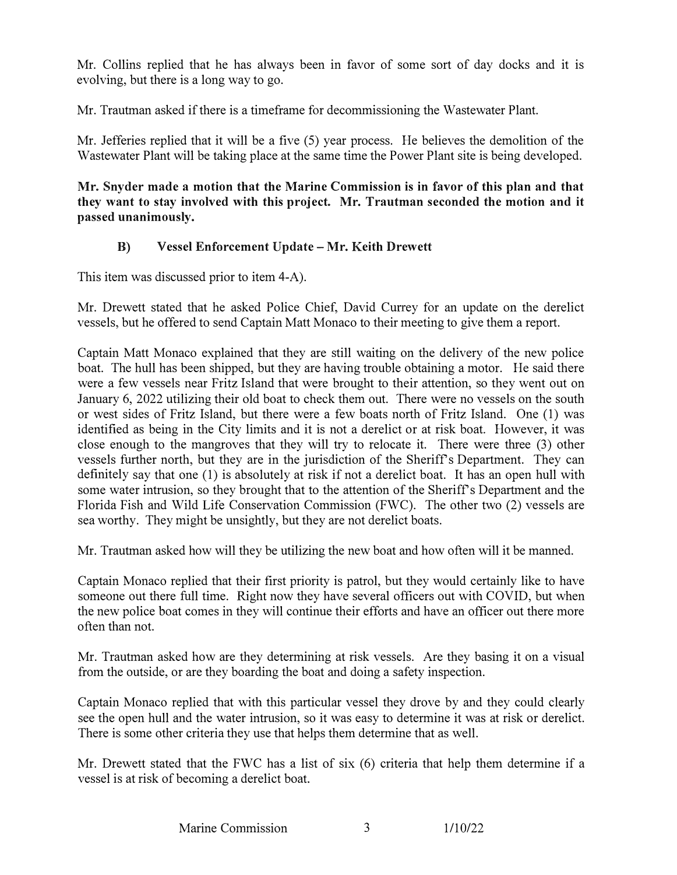Mr. Collins replied that he has always been in favor of some sort of day docks and it is evolving, but there is a long way to go.

Mr. Trautman asked if there is a timeframe for decommissioning the Wastewater Plant.

Mr. Jefferies replied that it will be a five (5) year process. He believes the demolition of the Wastewater Plant will be taking place at the same time the Power Plant site is being developed.

**Mr. Snyder made a motion that the Marine Commission is in favor of this plan and that they want to stay involved with this project. Mr. Trautman seconded the motion and it passed unanimously.** 

### **B) Vessel Enforcement Update-Mr. Keith Drewett**

This item was discussed prior to item 4-A).

Mr. Drewett stated that he asked Police Chief, David Currey for an update on the derelict vessels, but he offered to send Captain Matt Monaco to their meeting to give them a report.

Captain Matt Monaco explained that they are still waiting on the delivery of the new police boat. The hull has been shipped, but they are having trouble obtaining a motor. He said there were a few vessels near Fritz Island that were brought to their attention, so they went out on January 6, 2022 utilizing their old boat to check them out. There were no vessels on the south or west sides of Fritz Island, but there were a few boats north of Fritz Island. One (1) was identified as being in the City limits and it is not a derelict or at risk boat. However, it was close enough to the mangroves that they will try to relocate it. There were three (3) other vessels further north, but they are in the jurisdiction of the Sheriff's Department. They can definitely say that one (1) is absolutely at risk if not a derelict boat. It has an open hull with some water intrusion, so they brought that to the attention of the Sheriff's Department and the Florida Fish and Wild Life Conservation Commission (FWC). The other two (2) vessels are sea worthy. They might be unsightly, but they are not derelict boats.

Mr. Trautman asked how will they be utilizing the new boat and how often will it be manned.

Captain Monaco replied that their first priority is patrol, but they would certainly like to have someone out there full time. Right now they have several officers out with COVID, but when the new police boat comes in they will continue their efforts and have an officer out there more often than not.

Mr. Trautman asked how are they determining at risk vessels. Are they basing it on a visual from the outside, or are they boarding the boat and doing a safety inspection.

Captain Monaco replied that with this particular vessel they drove by and they could clearly see the open hull and the water intrusion, so it was easy to determine it was at risk or derelict. There is some other criteria they use that helps them determine that as well.

Mr. Drewett stated that the FWC has a list of six  $(6)$  criteria that help them determine if a vessel is at risk of becoming a derelict boat.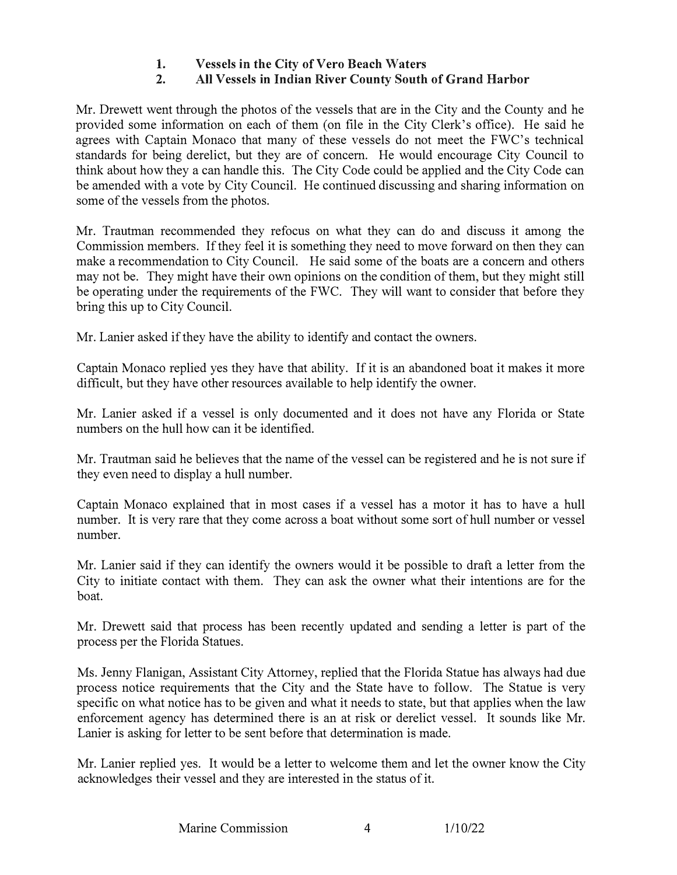#### **1. Vessels in the City of Vero Beach Waters**<br>**2. All Vessels in Indian River County South 2. AH Vessels in Indian River County South of Grand Harbor**

Mr. Drewett went through the photos of the vessels that are in the City and the County and he provided some information on each of them (on file in the City Clerk's office). He said he agrees with Captain Monaco that many of these vessels do not meet the FWC's technical standards for being derelict, but they are of concern. He would encourage City Council to think about how they a can handle this. The City Code could be applied and the City Code can be amended with a vote by City Council. He continued discussing and sharing information on some of the vessels from the photos.

Mr. Trautman recommended they refocus on what they can do and discuss it among the Commission members. If they feel it is something they need to move forward on then they can make a recommendation to City Council. He said some of the boats are a concern and others may not be. They might have their own opinions on the condition of them, but they might still be operating under the requirements of the FWC. They will want to consider that before they bring this up to City Council.

Mr. Lanier asked if they have the ability to identify and contact the owners.

Captain Monaco replied yes they have that ability. If it is an abandoned boat it makes it more difficult, but they have other resources available to help identify the owner.

Mr. Lanier asked if a vessel is only documented and it does not have any Florida or State numbers on the hull how can it be identified.

Mr. Trautman said he believes that the name of the vessel can be registered and he is not sure if they even need to display a hull number.

Captain Monaco explained that in most cases if a vessel has a motor it has to have a hull number. It is very rare that they come across a boat without some sort of hull number or vessel number.

Mr. Lanier said if they can identify the owners would it be possible to draft a letter from the City to initiate contact with them. They can ask the owner what their intentions are for the boat.

Mr. Drewett said that process has been recently updated and sending a letter is part of the process per the Florida Statues.

Ms. Jenny Flanigan, Assistant City Attorney, replied that the Florida Statue has always had due process notice requirements that the City and the State have to follow. The Statue is very specific on what notice has to be given and what it needs to state, but that applies when the law enforcement agency has determined there is an at risk or derelict vessel. It sounds like Mr. Lanier is asking for letter to be sent before that determination is made.

Mr. Lanier replied yes. It would be a letter to welcome them and let the owner know the City acknowledges their vessel and they are interested in the status of it.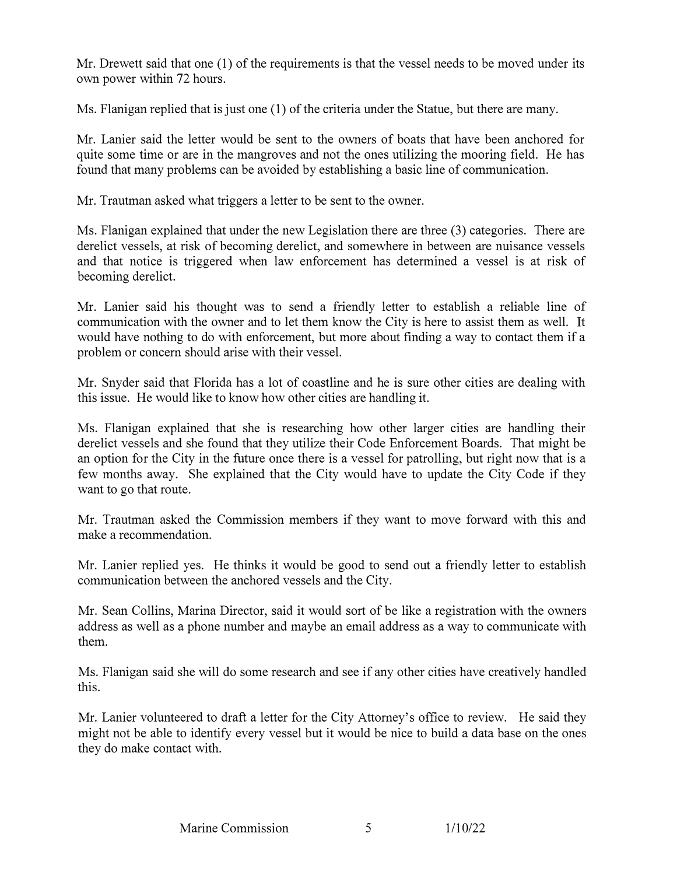Mr. Drewett said that one (1) of the requirements is that the vessel needs to be moved under its own power within 72 hours.

Ms. Flanigan replied that is just one (1) of the criteria under the Statue, but there are many.

Mr. Lanier said the letter would be sent to the owners of boats that have been anchored for quite some time or are in the mangroves and not the ones utilizing the mooring field. He has found that many problems can be avoided by establishing a basic line of communication.

Mr. Trautman asked what triggers a letter to be sent to the owner.

Ms. Flanigan explained that under the new Legislation there are three (3) categories. There are derelict vessels, at risk of becoming derelict, and somewhere in between are nuisance vessels and that notice is triggered when law enforcement has determined a vessel is at risk of becoming derelict.

Mr. Lanier said his thought was to send a friendly letter to establish a reliable line of communication with the owner and to let them know the City is here to assist them as well. It would have nothing to do with enforcement, but more about finding a way to contact them if a problem or concern should arise with their vessel.

Mr. Snyder said that Florida has a lot of coastline and he is sure other cities are dealing with this issue. He would like to know how other cities are handling it.

Ms. Flanigan explained that she is researching how other larger cities are handling their derelict vessels and she found that they utilize their Code Enforcement Boards. That might be an option for the City in the future once there is a vessel for patrolling, but right now that is a few months away. She explained that the City would have to update the City Code if they want to go that route.

Mr. Trautman asked the Commission members if they want to move forward with this and make a recommendation.

Mr. Lanier replied yes. He thinks it would be good to send out a friendly letter to establish communication between the anchored vessels and the City.

Mr. Sean Collins, Marina Director, said it would sort of be like a registration with the owners address as well as a phone number and maybe an email address as a way to communicate with them.

Ms. Flanigan said she will do some research and see if any other cities have creatively handled this.

Mr. Lanier volunteered to draft a letter for the City Attorney's office to review. He said they might not be able to identify every vessel but it would be nice to build a data base on the ones they do make contact with.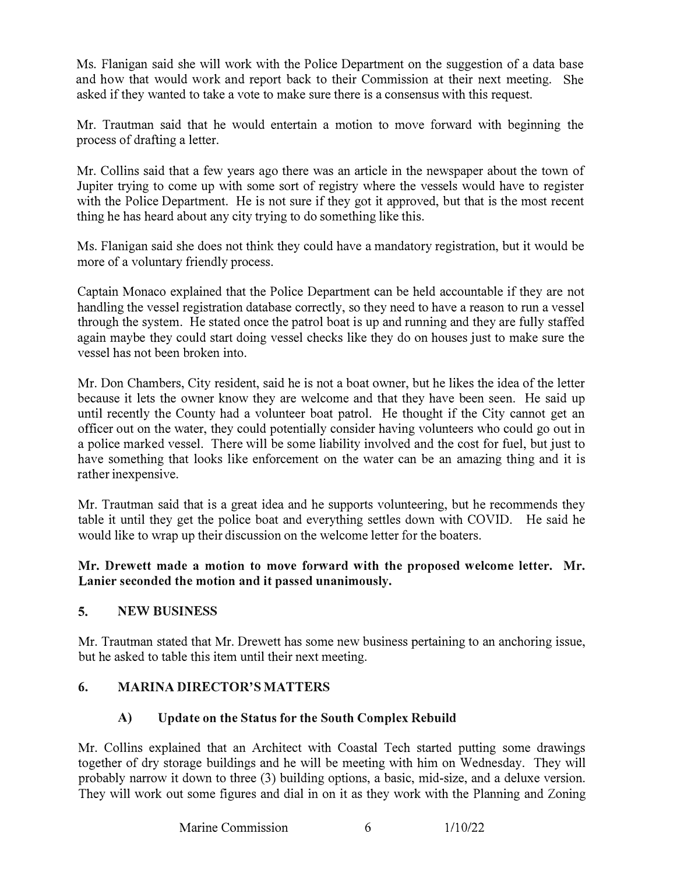Ms. Flanigan said she will work with the Police Department on the suggestion of a data base and how that would work and report back to their Commission at their next meeting. She asked if they wanted to take a vote to make sure there is a consensus with this request.

Mr. Trautman said that he would entertain a motion to move forward with beginning the process of drafting a letter.

Mr. Collins said that a few years ago there was an article in the newspaper about the town of Jupiter trying to come up with some sort of registry where the vessels would have to register with the Police Department. He is not sure if they got it approved, but that is the most recent thing he has heard about any city trying to do something like this.

Ms. Flanigan said she does not think they could have a mandatory registration, but it would be more of a voluntary friendly process.

Captain Monaco explained that the Police Department can be held accountable if they are not handling the vessel registration database correctly, so they need to have a reason to run a vessel through the system. He stated once the patrol boat is up and running and they are fully staffed again maybe they could start doing vessel checks like they do on houses just to make sure the vessel has not been broken into.

Mr. Don Chambers, City resident, said he is not a boat owner, but he likes the idea of the letter because it lets the owner know they are welcome and that they have been seen. He said up until recently the County had a volunteer boat patrol. He thought if the City cannot get an officer out on the water, they could potentially consider having volunteers who could go out in a police marked vessel. There will be some liability involved and the cost for fuel, but just to have something that looks like enforcement on the water can be an amazing thing and it is rather inexpensive.

Mr. Trautman said that is a great idea and he supports volunteering, but he recommends they table it until they get the police boat and everything settles down with COVID. He said he would like to wrap up their discussion on the welcome letter for the boaters.

#### **Mr. Drewett made a motion to move forward with the proposed welcome letter. Mr. Lanier seconded the motion and it passed unanimously.**

### **5. NEW BUSINESS**

Mr. Trautman stated that Mr. Drewett has some new business pertaining to an anchoring issue, but he asked to table this item until their next meeting.

### **6. MARINA DIRECTOR'S MATTERS**

### **A) Update on the Status for the South Complex Rebuild**

Mr. Collins explained that an Architect with Coastal Tech started putting some drawings together of dry storage buildings and he will be meeting with him on Wednesday. They will probably narrow it down to three (3) building options, a basic, mid-size, and a deluxe version. They will work out some figures and dial in on it as they work with the Planning and Zoning

Marine Commission 6 1/10/22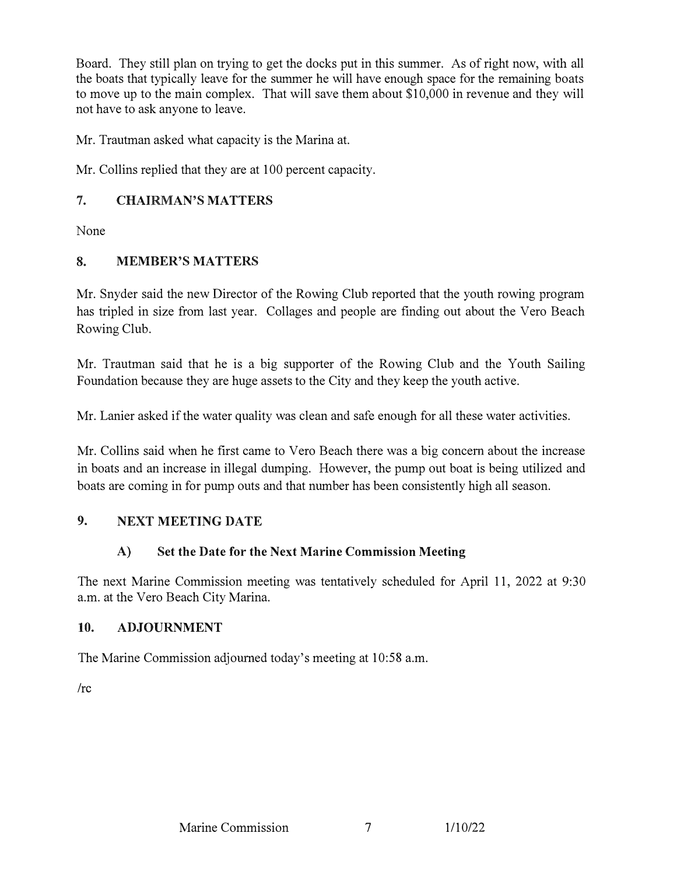Board. They still plan on trying to get the docks put in this summer. As of right now, with all the boats that typically leave for the summer he will have enough space for the remaining boats to move up to the main complex. That will save them about \$10,000 in revenue and they will not have to ask anyone to leave.

Mr. Trautman asked what capacity is the Marina at.

Mr. Collins replied that they are at 100 percent capacity.

## 7. CHAIRMAN'S MATTERS

None

#### 8. MEMBER'S MATTERS

Mr. Snyder said the new Director of the Rowing Club reported that the youth rowing program has tripled in size from last year. Collages and people are finding out about the Vero Beach Rowing Club.

Mr. Trautman said that he is a big supporter of the Rowing Club and the Youth Sailing Foundation because they are huge assets to the City and they keep the youth active.

Mr. Lanier asked if the water quality was clean and safe enough for all these water activities.

Mr. Collins said when he first came to Vero Beach there was a big concern about the increase in boats and an increase in illegal dumping. However, the pump out boat is being utilized and boats are coming in for pump outs and that number has been consistently high all season.

### 9. NEXT MEETING DATE

### A) Set the Date for the Next Marine Commission Meeting

The next Marine Commission meeting was tentatively scheduled for April 11, 2022 at 9:30 a.m. at the Vero Beach City Marina.

#### 10. ADJOURNMENT

The Marine Commission adjourned today's meeting at 10:58 a.m.

/re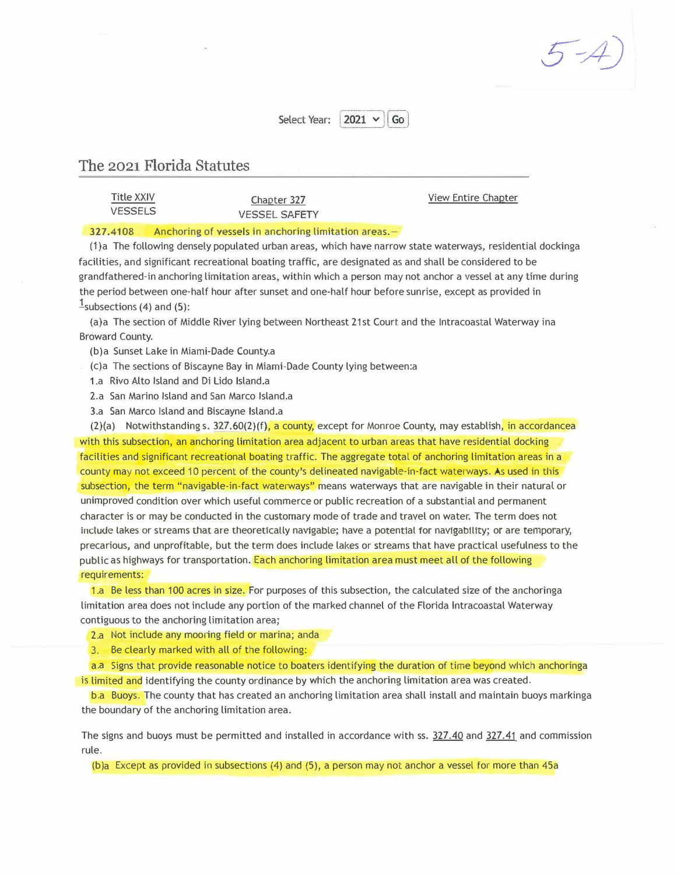$5 - 4$ 

#### $2021 \times 1$  Go Select Year:

#### <span id="page-8-0"></span>**The** 2021 **Florda** Statutes

Title XXIV Chapter 327 Chapter 327 View Entire Chapter<br>VESSELS **VESSEL SAFETY** 

#### 327.4108 Anchoring of vessels in anchoring limitation areas. -

(1)a The following densely populated urban areas, which have narrow state waterways, residential dockinga facilities, and significant recreational boating traffic, are designated as and shall be considered to be grandfathered-in anchoring limitation areas, within which a person may not anchor a vessel at any time during the period between one-half hour after sunset and one-half hour before sunrise, except as provided in  $\frac{1}{2}$ subsections (4) and (5):

(a)a The section of Middle River lying between Northeast 21st Court and the lntracoastal Waterway ina Broward County.

(b)a Sunset Lake in Miami-Dade County.a

(c)a The sections of Biscayne Bay in Miami-Dade County lying between:a

1.a Rivo Alto Island and Di Lido Island.a

2.a San Marino Island and San Marco Island.a

3.a San Marco Island and Biscayne Island.a

 $(2)(a)$  Notwithstanding s.  $327.60(2)(f)$ , a county, except for Monroe County, may establish, in accordancea with this subsection, an anchoring limitation area adjacent to urban areas that have residential docking facilities and significant recreational boating traffic. The aggregate total of anchoring limitation areas in a county may not exceed 10 percent of the county's delineated navigable-in-fact waterways. As used in this subsection, the term "navigable-in-fact waterways" means waterways that are navigable in their natural or unimproved condition over which useful commerce or public recreation of a substantial and permanent character is or may be conducted in the customary mode of trade and travel on water. The term does not include lakes or streams that are theoretically navigable; have a potential for navigability; or are temporary, precarious, and unprofitable, but the term does include lakes or streams that have practical usefulness to the public as highways for transportation. Each anchoring limitation area must meet all of the following requirements:

1.a Be less than 100 acres in size. For purposes of this subsection, the calculated size of the anchoringa limitation area does not include any portion of the marked channel of the Florida lntracoastal Waterway contiguous to the anchoring limitation area;

2.a Not include any mooring field or marina; anda

3, Be clearly marked with all of the following:

a.a Signs that provide reasonable notice to boaters identifying the duration of time beyond which anchoringa is limited and identifying the county ordinance by which the anchoring limitation area was created.

b.a Buoys. The county that has created an anchoring limitation area shall install and maintain buoys markinga the boundary of the anchoring limitation area.

The signs and buoys must be permitted and installed in accordance with ss. 327.40 and 327.41 and commission rule.

(b)a Except as provided in subsections (4) and (5), a person may not anchor a vessel for more than 45a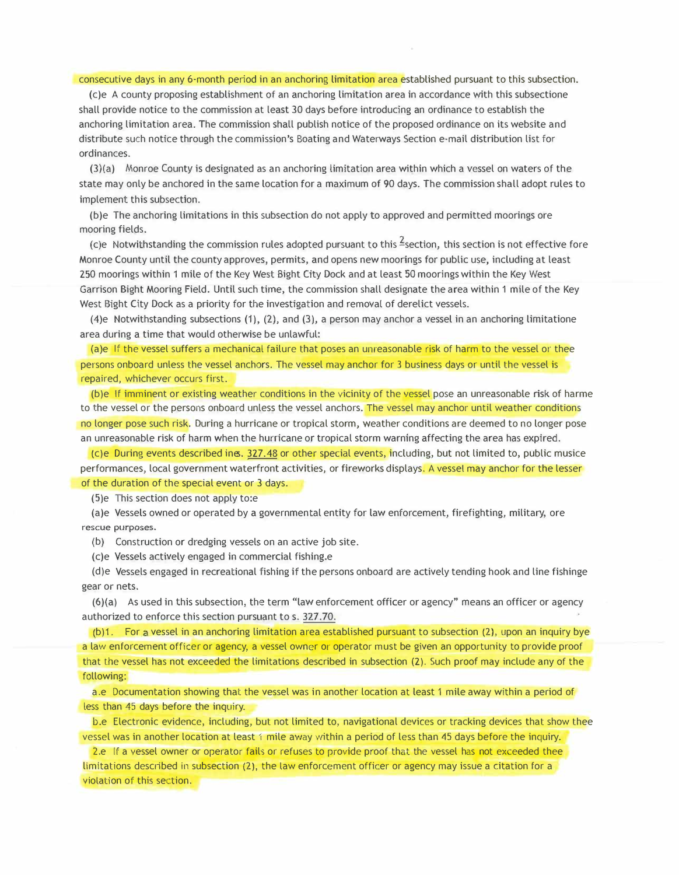consecutive days in any 6-month period in an anchoring limitation area established pursuant to this subsection.

(c)e A county proposing establishment of an anchoring limitation area in accordance with this subsectione shall provide notice to the commission at least 30 days before introducing an ordinance to establish the anchoring limitation area. The commission shall publish notice of the proposed ordinance on its website and distribute such notice through the commission's Boating and Waterways Section e-mail distribution list for ordinances.

(3)(a) Monroe County is designated as an anchoring limitation area within which a vessel on waters of the state may only be anchored in the same location for a maximum of 90 days. The commission shall adopt rules to implement this subsection.

(b)e The anchoring limitations in this subsection do not apply to approved and permitted moorings ore mooring fields.

(c)e Notwithstanding the commission rules adopted pursuant to this  $\frac{1}{2}$ section, this section is not effective fore Monroe County until the county approves, permits, and opens new moorings for public use, including at least 250 moorings within 1 mile of the Key West Bight City Dock and at least 50 moorings within the Key West Garrison Bight Mooring Field. Until such time, the commission shall designate the area within 1 mile of the Key West Bight City Dock as a priority for the investigation and removal of derelict vessels.

(4)e Notwithstanding subsections  $(1)$ ,  $(2)$ , and  $(3)$ , a person may anchor a vessel in an anchoring limitatione area during a time that would otherwise be unlawful:

(a)e If the vessel suffers a mechanical failure that poses an unreasonable risk of harm to the vessel or thee persons onboard unless the vessel anchors. The vessel may anchor for 3 business days or until the vessel is repaired, whichever occurs first.

repaired, whichever occ<br>
(b)e If imminent or ex<br>
to the vessel or the pers<br>
no longer pose such risk<br>
an unreasonable risk of<br>
(c)e During events de<br>
performances, local gov (b)e If imminent or existing weather conditions in the vicinity of the vessel pose an unreasonable risk of harme to the vessel or the persons onboard unless the vessel anchors. The vessel may anchor until weather conditions no longer pose such risk. During a hurricane or tropical storm, weather conditions are deemed to no longer pose an unreasonable risk of harm when the hurricane or tropical storm warning affecting the area has expired.

(c)e During events described ines. 327.48 or other special events, including, but not limited to, public musice performances, local government waterfront activities, or fireworks displays. A vessel may anchor for the lesser of the duration of the special event or 3 days.

(5)e This section does not apply to:e

(a)e Vessels owned or operated by a governmental entity for law enforcement, firefighting, military, ore rescue purposes.

{b) Construction or dredging vessels on an active job site.

(c)e Vessels actively engaged in commercial fishing.e

(d)e Vessels engaged in recreational fishing if the persons onboard are actively tending hook and line fishinge gear or nets.

(6){a) As used in this subsection, the term "law enforcement officer or agency"means an officer or agency authorized to enforce this section pursuant to s. 327.70.

b)1. For a vessel in an anchoring limitation area established pursuant to subsection (2), upon an inquiry bye a law enforcement officer or agency, a vessel owner or operator must be given an opportunity to provide proof that the vessel has not exceeded the limitations described in subsection (2). Such proof may include any of the following:

a.e Documentation showing that the vessel was in another location at least 1 mile away within a period of less than 45 days before the inquiry.

b.e Electronic evidence, including, but not limited to, navigational devices or tracking devices that show thee vessel was in another location at least 1 mile away within a period of less than 45 days before the inquiry.

2.e If a vessel owner or operator fails or refuses to provide proof that the vessel has not exceeded thee limitations described in subsection (2), the law enforcement officer or agency may issue a citation for a violation of this section.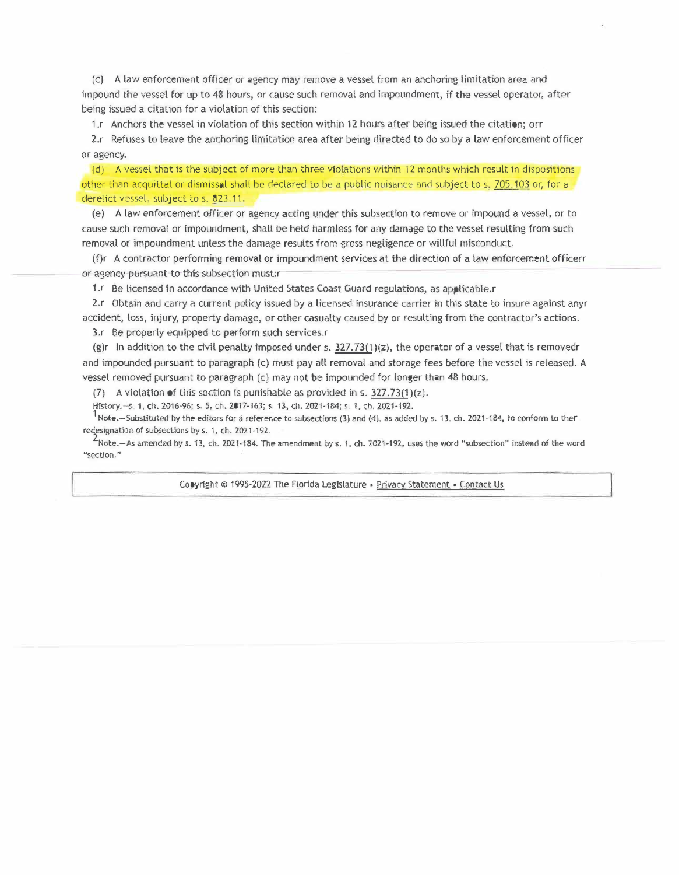(c} A lavl enforcement officer or agency may remove a vessel fom an anchorng limitation area and impound the vessel for up to 48 hours, or cause such removal and impoundment, if the vessel operator, after being issued a citation for a violation of this section:

1.r Anchors the vessel in violation of this section within 12 hours after being issued the citation; orr

2.r Refuses to leave the anchoring limitation area after being directed to do so by a law enforcement officer or agency.

(d) A vessel that is the subject of more than three violations within 12 months which result in dispositions other than acquittal or dismissal shall be declared to be a public nuisance and subject to s, 705.103 or, for a derelict vessel, subject to s. 823.11.

(e} A law enforcement oficer or agency acting under this subsection to remove or impound a vessel, or to cause such removal or impoundment, shall be held harmless for any damage to the vessel resulting from such removal or impoundment unless the damage results from gross negligence or willful misconduct.

(f)r A contractor performing removal or irnpoundment services at the direction of a law enforcement officerr or agency pursuant to this subsection must:r

1. Be licensed in accordance with United States Coast Guard regulations, as applicable.r

2.r Obtain and carry a current policy issued by a licensed insurance carrier in this state to insure against anyr accident, loss, injury, property damage, or other casualty caused by or resulting from the contractor's actions.

3.r Be properly equipped to perform such services.r

(g)r In addition to the civil penalty imposed under s.  $327.73(1)(z)$ , the operator of a vessel that is removedr and impounded pursuant to paragraph (c) must pay all removal and storage fees before the vessel is released. A vessel removed pursuant to paragraph  $(c)$  may not be impounded for longer than 48 hours.

(7) A violation of this section is punishable as provided in s.  $327.73(1)(z)$ .

History,—S. 1, ch. 2016-96; s. 5, ch. 2017-163; s. 13, ch. 2021-184; s. 1, ch. 2021-192.<br><sup>1</sup>Note,—Substituted by the editors for a reference to subsections (3) and (4), as added by s. 13, ch. 2021-184, to conform to theT redesignation of subsections by s. 1, ch. 2021-192.<br><sup>2</sup>Note.—As amended by s. 13, ch. 2021-184. The amendment by s. 1, ch. 2021-192, uses the word "subsection" instead of the word

"section."

Copyright © 1995-2022 The Florida Legislature • Privacy Statement • Contact Us